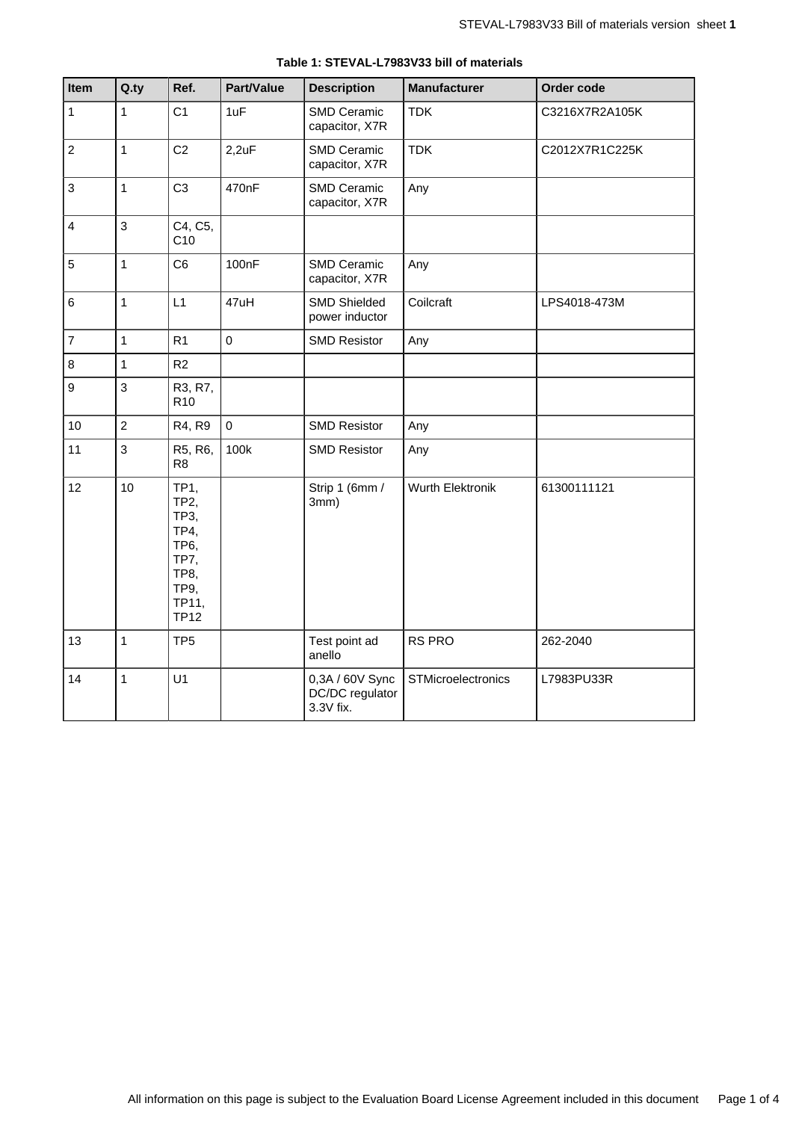| Item             | Q.ty           | Ref.                                                                                                          | Part/Value  | <b>Description</b>                              | <b>Manufacturer</b> | Order code     |
|------------------|----------------|---------------------------------------------------------------------------------------------------------------|-------------|-------------------------------------------------|---------------------|----------------|
| $\mathbf{1}$     | $\mathbf{1}$   | C <sub>1</sub>                                                                                                | 1uF         | SMD Ceramic<br>capacitor, X7R                   | <b>TDK</b>          | C3216X7R2A105K |
| $\overline{c}$   | $\mathbf{1}$   | C <sub>2</sub>                                                                                                | 2,2uF       | SMD Ceramic<br>capacitor, X7R                   | <b>TDK</b>          | C2012X7R1C225K |
| $\mathbf{3}$     | $\mathbf{1}$   | C <sub>3</sub>                                                                                                | 470nF       | SMD Ceramic<br>capacitor, X7R                   | Any                 |                |
| $\overline{4}$   | 3              | C4, C5,<br>C <sub>10</sub>                                                                                    |             |                                                 |                     |                |
| 5                | $\mathbf{1}$   | C <sub>6</sub>                                                                                                | 100nF       | <b>SMD Ceramic</b><br>capacitor, X7R            | Any                 |                |
| $\,6$            | $\mathbf{1}$   | L1                                                                                                            | 47uH        | <b>SMD Shielded</b><br>power inductor           | Coilcraft           | LPS4018-473M   |
| $\overline{7}$   | $\overline{1}$ | R <sub>1</sub>                                                                                                | $\mathbf 0$ | <b>SMD Resistor</b>                             | Any                 |                |
| 8                | $\mathbf{1}$   | R2                                                                                                            |             |                                                 |                     |                |
| $\boldsymbol{9}$ | 3              | R3, R7,<br>R <sub>10</sub>                                                                                    |             |                                                 |                     |                |
| 10               | $\overline{2}$ | R4, R9                                                                                                        | $\mathbf 0$ | <b>SMD Resistor</b>                             | Any                 |                |
| 11               | 3              | R5, R6,<br>R <sub>8</sub>                                                                                     | 100k        | <b>SMD Resistor</b>                             | Any                 |                |
| 12               | 10             | TP1,<br><b>TP2,</b><br>TP3,<br><b>TP4,</b><br>TP <sub>6</sub><br>TP7,<br>TP8,<br>TP9,<br>TP11,<br><b>TP12</b> |             | Strip 1 (6mm /<br>3mm)                          | Wurth Elektronik    | 61300111121    |
| 13               | $\overline{1}$ | TP <sub>5</sub>                                                                                               |             | Test point ad<br>anello                         | RS PRO              | 262-2040       |
| 14               | $\mathbf{1}$   | U1                                                                                                            |             | 0,3A / 60V Sync<br>DC/DC regulator<br>3.3V fix. | STMicroelectronics  | L7983PU33R     |

#### **Table 1: STEVAL-L7983V33 bill of materials**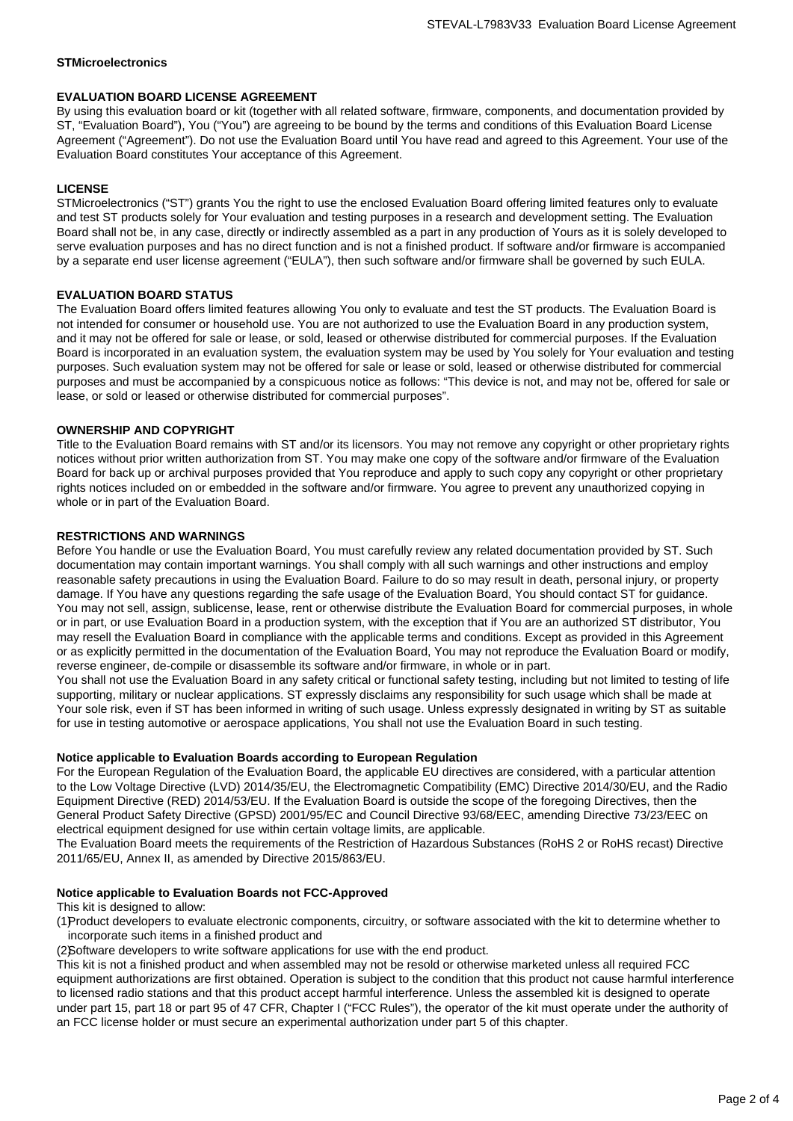# **STMicroelectronics**

# **EVALUATION BOARD LICENSE AGREEMENT**

By using this evaluation board or kit (together with all related software, firmware, components, and documentation provided by ST, "Evaluation Board"), You ("You") are agreeing to be bound by the terms and conditions of this Evaluation Board License Agreement ("Agreement"). Do not use the Evaluation Board until You have read and agreed to this Agreement. Your use of the Evaluation Board constitutes Your acceptance of this Agreement.

# **LICENSE**

STMicroelectronics ("ST") grants You the right to use the enclosed Evaluation Board offering limited features only to evaluate and test ST products solely for Your evaluation and testing purposes in a research and development setting. The Evaluation Board shall not be, in any case, directly or indirectly assembled as a part in any production of Yours as it is solely developed to serve evaluation purposes and has no direct function and is not a finished product. If software and/or firmware is accompanied by a separate end user license agreement ("EULA"), then such software and/or firmware shall be governed by such EULA.

# **EVALUATION BOARD STATUS**

The Evaluation Board offers limited features allowing You only to evaluate and test the ST products. The Evaluation Board is not intended for consumer or household use. You are not authorized to use the Evaluation Board in any production system, and it may not be offered for sale or lease, or sold, leased or otherwise distributed for commercial purposes. If the Evaluation Board is incorporated in an evaluation system, the evaluation system may be used by You solely for Your evaluation and testing purposes. Such evaluation system may not be offered for sale or lease or sold, leased or otherwise distributed for commercial purposes and must be accompanied by a conspicuous notice as follows: "This device is not, and may not be, offered for sale or lease, or sold or leased or otherwise distributed for commercial purposes".

# **OWNERSHIP AND COPYRIGHT**

Title to the Evaluation Board remains with ST and/or its licensors. You may not remove any copyright or other proprietary rights notices without prior written authorization from ST. You may make one copy of the software and/or firmware of the Evaluation Board for back up or archival purposes provided that You reproduce and apply to such copy any copyright or other proprietary rights notices included on or embedded in the software and/or firmware. You agree to prevent any unauthorized copying in whole or in part of the Evaluation Board.

# **RESTRICTIONS AND WARNINGS**

Before You handle or use the Evaluation Board, You must carefully review any related documentation provided by ST. Such documentation may contain important warnings. You shall comply with all such warnings and other instructions and employ reasonable safety precautions in using the Evaluation Board. Failure to do so may result in death, personal injury, or property damage. If You have any questions regarding the safe usage of the Evaluation Board, You should contact ST for guidance. You may not sell, assign, sublicense, lease, rent or otherwise distribute the Evaluation Board for commercial purposes, in whole or in part, or use Evaluation Board in a production system, with the exception that if You are an authorized ST distributor, You may resell the Evaluation Board in compliance with the applicable terms and conditions. Except as provided in this Agreement or as explicitly permitted in the documentation of the Evaluation Board, You may not reproduce the Evaluation Board or modify, reverse engineer, de-compile or disassemble its software and/or firmware, in whole or in part.

You shall not use the Evaluation Board in any safety critical or functional safety testing, including but not limited to testing of life supporting, military or nuclear applications. ST expressly disclaims any responsibility for such usage which shall be made at Your sole risk, even if ST has been informed in writing of such usage. Unless expressly designated in writing by ST as suitable for use in testing automotive or aerospace applications, You shall not use the Evaluation Board in such testing.

# **Notice applicable to Evaluation Boards according to European Regulation**

For the European Regulation of the Evaluation Board, the applicable EU directives are considered, with a particular attention to the Low Voltage Directive (LVD) 2014/35/EU, the Electromagnetic Compatibility (EMC) Directive 2014/30/EU, and the Radio Equipment Directive (RED) 2014/53/EU. If the Evaluation Board is outside the scope of the foregoing Directives, then the General Product Safety Directive (GPSD) 2001/95/EC and Council Directive 93/68/EEC, amending Directive 73/23/EEC on electrical equipment designed for use within certain voltage limits, are applicable.

The Evaluation Board meets the requirements of the Restriction of Hazardous Substances (RoHS 2 or RoHS recast) Directive 2011/65/EU, Annex II, as amended by Directive 2015/863/EU.

# **Notice applicable to Evaluation Boards not FCC-Approved**

This kit is designed to allow:

(1)Product developers to evaluate electronic components, circuitry, or software associated with the kit to determine whether to incorporate such items in a finished product and

(2)Software developers to write software applications for use with the end product.

This kit is not a finished product and when assembled may not be resold or otherwise marketed unless all required FCC equipment authorizations are first obtained. Operation is subject to the condition that this product not cause harmful interference to licensed radio stations and that this product accept harmful interference. Unless the assembled kit is designed to operate under part 15, part 18 or part 95 of 47 CFR, Chapter I ("FCC Rules"), the operator of the kit must operate under the authority of an FCC license holder or must secure an experimental authorization under part 5 of this chapter.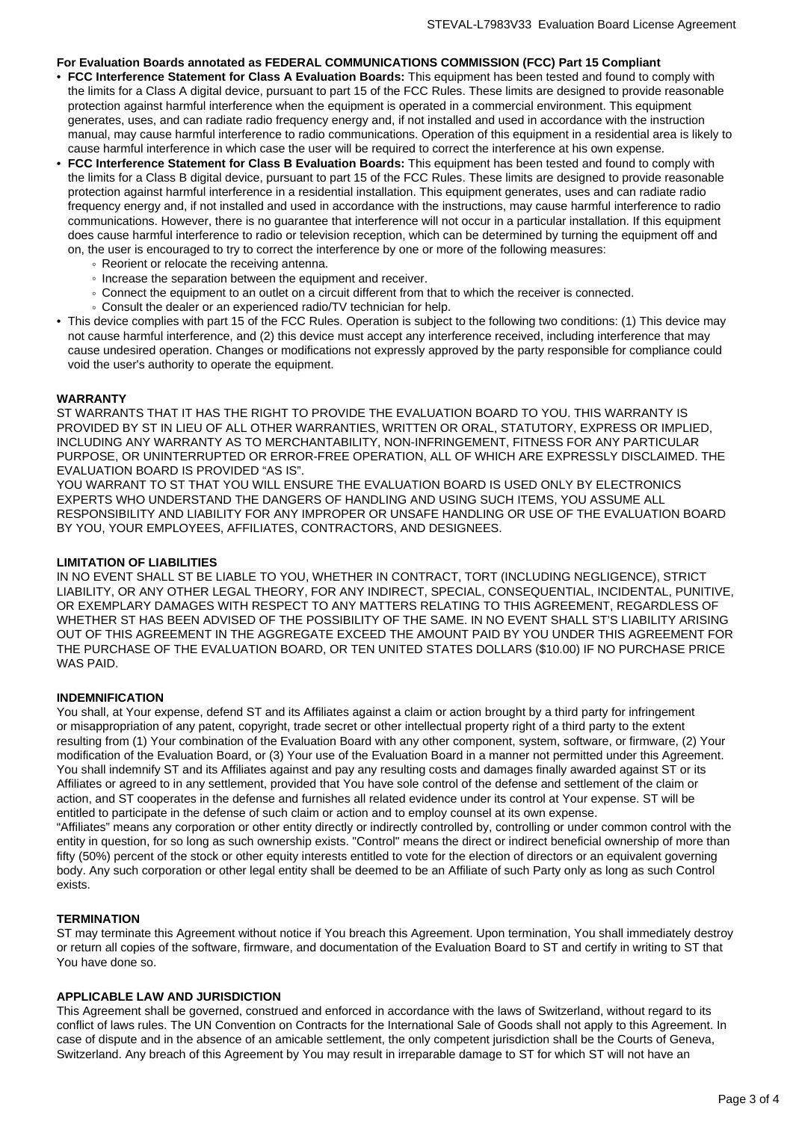# **For Evaluation Boards annotated as FEDERAL COMMUNICATIONS COMMISSION (FCC) Part 15 Compliant**

- **FCC Interference Statement for Class A Evaluation Boards:** This equipment has been tested and found to comply with the limits for a Class A digital device, pursuant to part 15 of the FCC Rules. These limits are designed to provide reasonable protection against harmful interference when the equipment is operated in a commercial environment. This equipment generates, uses, and can radiate radio frequency energy and, if not installed and used in accordance with the instruction manual, may cause harmful interference to radio communications. Operation of this equipment in a residential area is likely to cause harmful interference in which case the user will be required to correct the interference at his own expense.
- **FCC Interference Statement for Class B Evaluation Boards:** This equipment has been tested and found to comply with the limits for a Class B digital device, pursuant to part 15 of the FCC Rules. These limits are designed to provide reasonable protection against harmful interference in a residential installation. This equipment generates, uses and can radiate radio frequency energy and, if not installed and used in accordance with the instructions, may cause harmful interference to radio communications. However, there is no guarantee that interference will not occur in a particular installation. If this equipment does cause harmful interference to radio or television reception, which can be determined by turning the equipment off and on, the user is encouraged to try to correct the interference by one or more of the following measures:
	- Reorient or relocate the receiving antenna.
	- Increase the separation between the equipment and receiver.
	- Connect the equipment to an outlet on a circuit different from that to which the receiver is connected.
	- Consult the dealer or an experienced radio/TV technician for help.
- This device complies with part 15 of the FCC Rules. Operation is subject to the following two conditions: (1) This device may not cause harmful interference, and (2) this device must accept any interference received, including interference that may cause undesired operation. Changes or modifications not expressly approved by the party responsible for compliance could void the user's authority to operate the equipment.

#### **WARRANTY**

ST WARRANTS THAT IT HAS THE RIGHT TO PROVIDE THE EVALUATION BOARD TO YOU. THIS WARRANTY IS PROVIDED BY ST IN LIEU OF ALL OTHER WARRANTIES, WRITTEN OR ORAL, STATUTORY, EXPRESS OR IMPLIED, INCLUDING ANY WARRANTY AS TO MERCHANTABILITY, NON-INFRINGEMENT, FITNESS FOR ANY PARTICULAR PURPOSE, OR UNINTERRUPTED OR ERROR-FREE OPERATION, ALL OF WHICH ARE EXPRESSLY DISCLAIMED. THE EVALUATION BOARD IS PROVIDED "AS IS".

YOU WARRANT TO ST THAT YOU WILL ENSURE THE EVALUATION BOARD IS USED ONLY BY ELECTRONICS EXPERTS WHO UNDERSTAND THE DANGERS OF HANDLING AND USING SUCH ITEMS, YOU ASSUME ALL RESPONSIBILITY AND LIABILITY FOR ANY IMPROPER OR UNSAFE HANDLING OR USE OF THE EVALUATION BOARD BY YOU, YOUR EMPLOYEES, AFFILIATES, CONTRACTORS, AND DESIGNEES.

#### **LIMITATION OF LIABILITIES**

IN NO EVENT SHALL ST BE LIABLE TO YOU, WHETHER IN CONTRACT, TORT (INCLUDING NEGLIGENCE), STRICT LIABILITY, OR ANY OTHER LEGAL THEORY, FOR ANY INDIRECT, SPECIAL, CONSEQUENTIAL, INCIDENTAL, PUNITIVE, OR EXEMPLARY DAMAGES WITH RESPECT TO ANY MATTERS RELATING TO THIS AGREEMENT, REGARDLESS OF WHETHER ST HAS BEEN ADVISED OF THE POSSIBILITY OF THE SAME. IN NO EVENT SHALL ST'S LIABILITY ARISING OUT OF THIS AGREEMENT IN THE AGGREGATE EXCEED THE AMOUNT PAID BY YOU UNDER THIS AGREEMENT FOR THE PURCHASE OF THE EVALUATION BOARD, OR TEN UNITED STATES DOLLARS (\$10.00) IF NO PURCHASE PRICE WAS PAID.

# **INDEMNIFICATION**

You shall, at Your expense, defend ST and its Affiliates against a claim or action brought by a third party for infringement or misappropriation of any patent, copyright, trade secret or other intellectual property right of a third party to the extent resulting from (1) Your combination of the Evaluation Board with any other component, system, software, or firmware, (2) Your modification of the Evaluation Board, or (3) Your use of the Evaluation Board in a manner not permitted under this Agreement. You shall indemnify ST and its Affiliates against and pay any resulting costs and damages finally awarded against ST or its Affiliates or agreed to in any settlement, provided that You have sole control of the defense and settlement of the claim or action, and ST cooperates in the defense and furnishes all related evidence under its control at Your expense. ST will be entitled to participate in the defense of such claim or action and to employ counsel at its own expense. "Affiliates" means any corporation or other entity directly or indirectly controlled by, controlling or under common control with the entity in question, for so long as such ownership exists. "Control" means the direct or indirect beneficial ownership of more than fifty (50%) percent of the stock or other equity interests entitled to vote for the election of directors or an equivalent governing body. Any such corporation or other legal entity shall be deemed to be an Affiliate of such Party only as long as such Control

# **TERMINATION**

exists.

ST may terminate this Agreement without notice if You breach this Agreement. Upon termination, You shall immediately destroy or return all copies of the software, firmware, and documentation of the Evaluation Board to ST and certify in writing to ST that You have done so.

#### **APPLICABLE LAW AND JURISDICTION**

This Agreement shall be governed, construed and enforced in accordance with the laws of Switzerland, without regard to its conflict of laws rules. The UN Convention on Contracts for the International Sale of Goods shall not apply to this Agreement. In case of dispute and in the absence of an amicable settlement, the only competent jurisdiction shall be the Courts of Geneva, Switzerland. Any breach of this Agreement by You may result in irreparable damage to ST for which ST will not have an